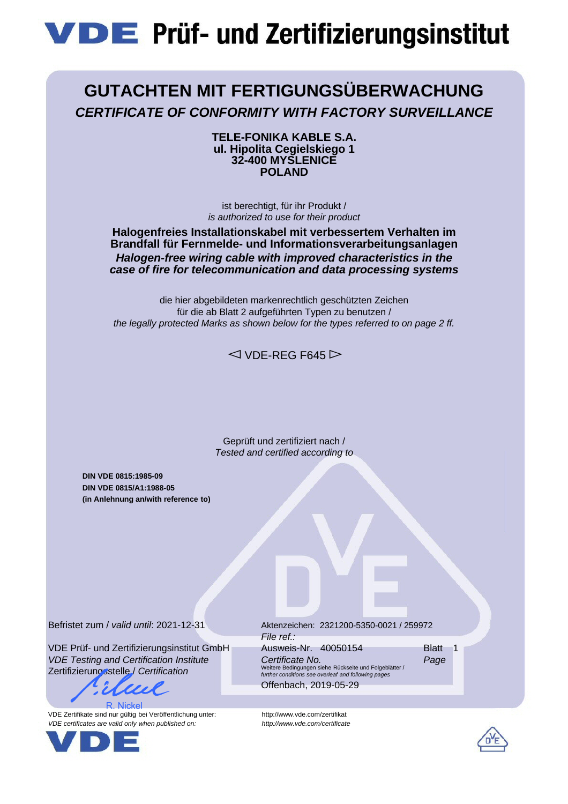# **VDE** Prüf- und Zertifizierungsinstitut

## **GUTACHTEN MIT FERTIGUNGSÜBERWACHUNG** *CERTIFICATE OF CONFORMITY WITH FACTORY SURVEILLANCE*

**TELE-FONIKA KABLE S.A. ul. Hipolita Cegielskiego 1 32-400 MYSLENICE POLAND**

ist berechtigt, für ihr Produkt / *is authorized to use for their product*

### **Halogenfreies Installationskabel mit verbessertem Verhalten im Brandfall für Fernmelde- und Informationsverarbeitungsanlagen** *Halogen-free wiring cable with improved characteristics in the case of fire for telecommunication and data processing systems*

die hier abgebildeten markenrechtlich geschützten Zeichen für die ab Blatt 2 aufgeführten Typen zu benutzen / *the legally protected Marks as shown below for the types referred to on page 2 ff.*

 $\triangle$  VDE-REG F645

Geprüft und zertifiziert nach / *Tested and certified according to*

**DIN VDE 0815:1985-09 DIN VDE 0815/A1:1988-05 (in Anlehnung an/with reference to)**

Befristet zum / *valid until*: 2021-12-31

VDE Prüf- und Zertifizierungsinstitut GmbH *VDE Testing and Certification Institute* Zertifizierungsstelle / *Certification*

R. Nickel

VDE Zertifikate sind nur gültig bei Veröffentlichung unter: http://www.vde.com/zertifikat *VDE certificates are valid only when published on: http://www.vde.com/certificate*



Aktenzeichen: 2321200-5350-0021 / 259972 *File ref.:* Ausweis-Nr. 40050154 Blatt 1 *Certificate No. Page* Weitere Bedingungen siehe Rückseite und Folgeblätter / *further conditions see overleaf and following pages* Offenbach, 2019-05-29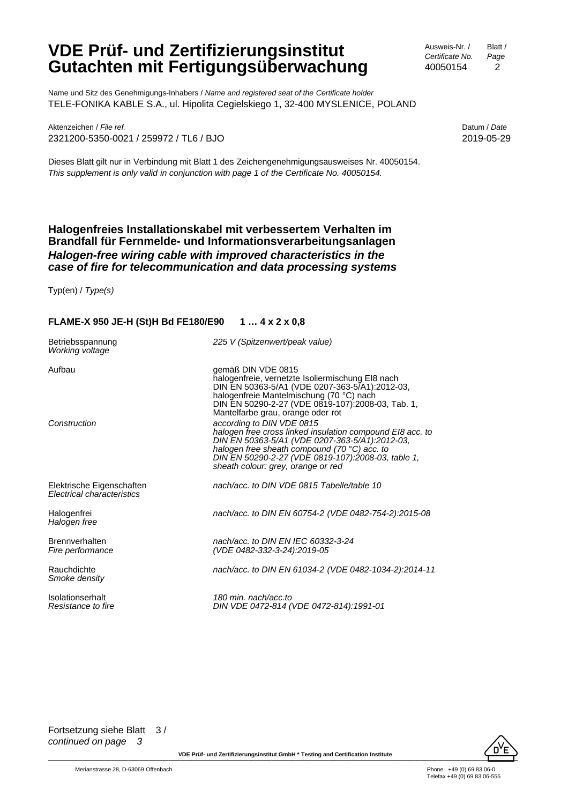Ausweis-Nr. / *Certificate No.* 40050154 Blatt / *Page* 2

Name und Sitz des Genehmigungs-Inhabers / *Name and registered seat of the Certificate holder* TELE-FONIKA KABLE S.A., ul. Hipolita Cegielskiego 1, 32-400 MYSLENICE, POLAND

Aktenzeichen / *File ref.* Datum / *Date* 2321200-5350-0021 / 259972 / TL6 / BJO 2019-05-29

Dieses Blatt gilt nur in Verbindung mit Blatt 1 des Zeichengenehmigungsausweises Nr. 40050154. *This supplement is only valid in conjunction with page 1 of the Certificate No. 40050154.*

#### **Halogenfreies Installationskabel mit verbessertem Verhalten im Brandfall für Fernmelde- und Informationsverarbeitungsanlagen** *Halogen-free wiring cable with improved characteristics in the case of fire for telecommunication and data processing systems*

Typ(en) / *Type(s)*

#### **FLAME-X 950 JE-H (St)H Bd FE180/E90 1 … 4 x 2 x 0,8**

| Betriebsspannung<br>Working voltage                     | 225 V (Spitzenwert/peak value)                                                                                                                                                                                                                                                                                                                                                                                                                                                                                                                         |
|---------------------------------------------------------|--------------------------------------------------------------------------------------------------------------------------------------------------------------------------------------------------------------------------------------------------------------------------------------------------------------------------------------------------------------------------------------------------------------------------------------------------------------------------------------------------------------------------------------------------------|
| Aufbau<br>Construction                                  | gemäß DIN VDE 0815<br>halogenfreie, vernetzte Isoliermischung EI8 nach<br>DIN EN 50363-5/A1 (VDE 0207-363-5/A1):2012-03,<br>halogenfreie Mantelmischung (70 °C) nach<br>DIN EN 50290-2-27 (VDE 0819-107):2008-03, Tab. 1,<br>Mantelfarbe grau, orange oder rot<br>according to DIN VDE 0815<br>halogen free cross linked insulation compound EI8 acc. to<br>DIN EN 50363-5/A1 (VDE 0207-363-5/A1):2012-03,<br>halogen free sheath compound (70 °C) acc. to<br>DIN EN 50290-2-27 (VDE 0819-107):2008-03, table 1,<br>sheath colour: grey, orange or red |
| Elektrische Eigenschaften<br>Electrical characteristics | nach/acc. to DIN VDE 0815 Tabelle/table 10                                                                                                                                                                                                                                                                                                                                                                                                                                                                                                             |
| Halogenfrei<br>Halogen free                             | nach/acc. to DIN EN 60754-2 (VDE 0482-754-2):2015-08                                                                                                                                                                                                                                                                                                                                                                                                                                                                                                   |
| Brennverhalten<br>Fire performance                      | nach/acc, to DIN EN IEC 60332-3-24<br>(VDE 0482-332-3-24):2019-05                                                                                                                                                                                                                                                                                                                                                                                                                                                                                      |
| Rauchdichte<br>Smoke density                            | nach/acc. to DIN EN 61034-2 (VDE 0482-1034-2):2014-11                                                                                                                                                                                                                                                                                                                                                                                                                                                                                                  |
| Isolationserhalt<br>Resistance to fire                  | 180 min. nach/acc.to<br>DIN VDE 0472-814 (VDE 0472-814):1991-01                                                                                                                                                                                                                                                                                                                                                                                                                                                                                        |



\_\_\_\_\_\_\_\_\_\_\_\_\_\_\_\_\_\_\_\_\_\_\_\_\_\_\_\_\_\_\_ **VDE Prüf- und Zertifizierungsinstitut GmbH \*** \_\_\_\_\_\_\_\_\_\_\_\_\_\_\_\_\_\_\_\_\_\_\_\_\_\_\_\_\_\_\_ **Testing and Certification Institute** \_\_\_\_\_\_\_\_\_\_\_\_\_\_\_\_\_\_\_\_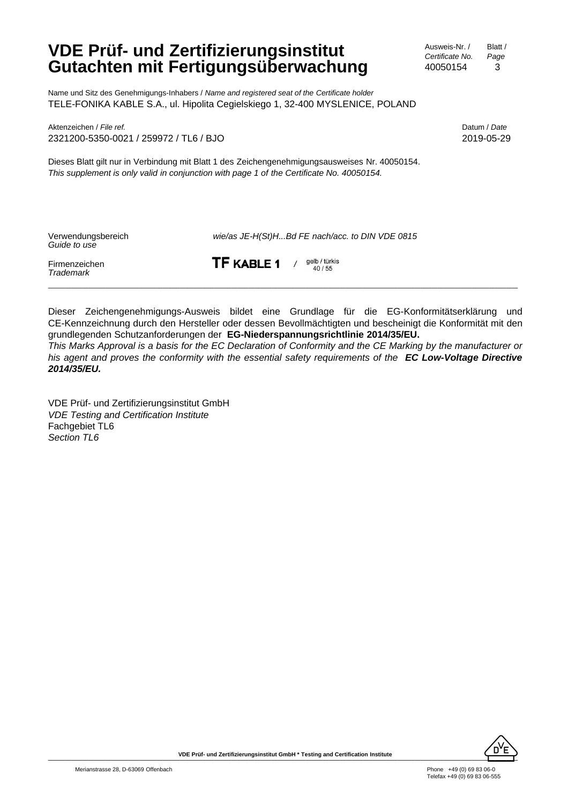Ausweis-Nr. / *Certificate No.* 40050154 Blatt / *Page* 3

Name und Sitz des Genehmigungs-Inhabers / *Name and registered seat of the Certificate holder* TELE-FONIKA KABLE S.A., ul. Hipolita Cegielskiego 1, 32-400 MYSLENICE, POLAND

Aktenzeichen / *File ref.* Datum / *Date* 2321200-5350-0021 / 259972 / TL6 / BJO 2019-05-29

Dieses Blatt gilt nur in Verbindung mit Blatt 1 des Zeichengenehmigungsausweises Nr. 40050154. *This supplement is only valid in conjunction with page 1 of the Certificate No. 40050154.*

| Verwendungsbereich<br>Guide to use | wie/as JE-H(St)HBd FE nach/acc. to DIN VDE 0815 |
|------------------------------------|-------------------------------------------------|
| Firmenzeichen                      | TF KABLE 1                                      |
| Trademark                          | gelb / türkis<br>40 / 55                        |

Dieser Zeichengenehmigungs-Ausweis bildet eine Grundlage für die EG-Konformitätserklärung und CE-Kennzeichnung durch den Hersteller oder dessen Bevollmächtigten und bescheinigt die Konformität mit den grundlegenden Schutzanforderungen der **EG-Niederspannungsrichtlinie 2014/35/EU.**

*This Marks Approval is a basis for the EC Declaration of Conformity and the CE Marking by the manufacturer or his agent and proves the conformity with the essential safety requirements of the EC Low-Voltage Directive 2014/35/EU.*

VDE Prüf- und Zertifizierungsinstitut GmbH *VDE Testing and Certification Institute* Fachgebiet TL6 *Section TL6*

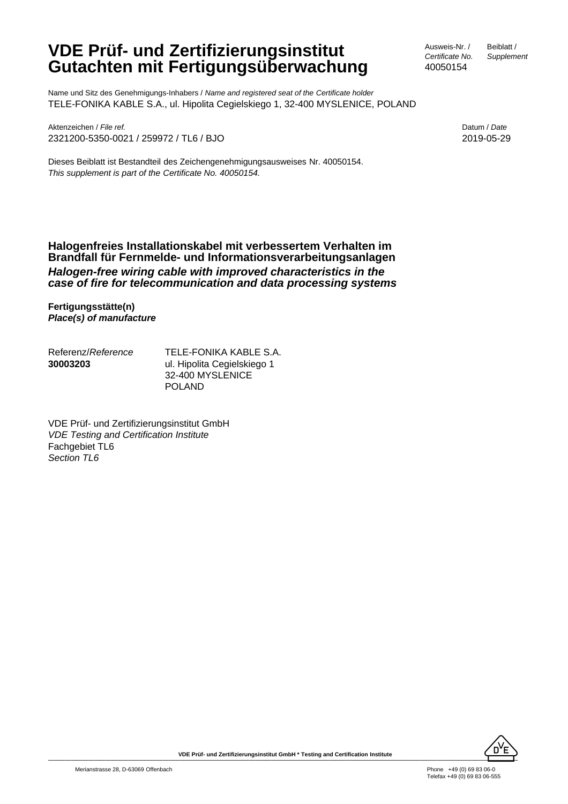Name und Sitz des Genehmigungs-Inhabers / *Name and registered seat of the Certificate holder* TELE-FONIKA KABLE S.A., ul. Hipolita Cegielskiego 1, 32-400 MYSLENICE, POLAND

Aktenzeichen / *File ref.* Datum / *Date* 2321200-5350-0021 / 259972 / TL6 / BJO 2019-05-29

Dieses Beiblatt ist Bestandteil des Zeichengenehmigungsausweises Nr. 40050154. *This supplement is part of the Certificate No. 40050154.*

Ausweis-Nr. / *Certificate No.* 40050154

Beiblatt / *Supplement*

**Halogenfreies Installationskabel mit verbessertem Verhalten im Brandfall für Fernmelde- und Informationsverarbeitungsanlagen** *Halogen-free wiring cable with improved characteristics in the case of fire for telecommunication and data processing systems*

**Fertigungsstätte(n)** *Place(s) of manufacture*

Referenz/*Reference* **30003203** TELE-FONIKA KABLE S.A. ul. Hipolita Cegielskiego 1 32-400 MYSLENICE POLAND

VDE Prüf- und Zertifizierungsinstitut GmbH *VDE Testing and Certification Institute* Fachgebiet TL6 *Section TL6*